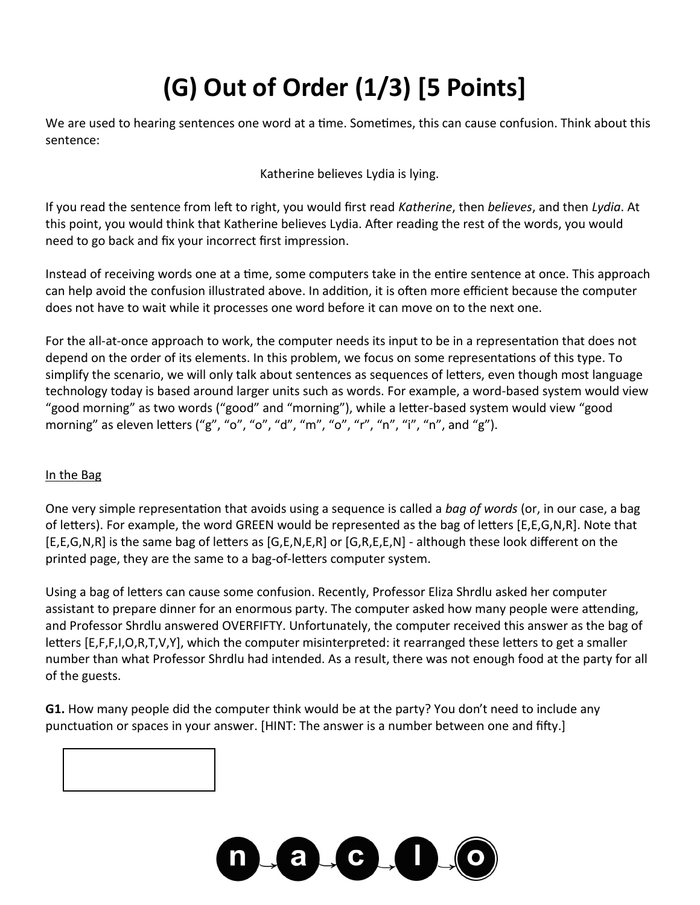# **(G) Out of Order (1/3) [5 Points]**

We are used to hearing sentences one word at a time. Sometimes, this can cause confusion. Think about this sentence:

Katherine believes Lydia is lying.

If you read the sentence from left to right, you would first read *Katherine*, then *believes*, and then *Lydia*. At this point, you would think that Katherine believes Lydia. After reading the rest of the words, you would need to go back and fix your incorrect first impression.

Instead of receiving words one at a time, some computers take in the entire sentence at once. This approach can help avoid the confusion illustrated above. In addition, it is often more efficient because the computer does not have to wait while it processes one word before it can move on to the next one.

For the all-at-once approach to work, the computer needs its input to be in a representation that does not depend on the order of its elements. In this problem, we focus on some representations of this type. To simplify the scenario, we will only talk about sentences as sequences of letters, even though most language technology today is based around larger units such as words. For example, a word-based system would view "good morning" as two words ("good" and "morning"), while a letter-based system would view "good morning" as eleven letters ("g", "o", "o", "d", "m", "o", "r", "n", "i", "n", and "g").

### In the Bag

One very simple representation that avoids using a sequence is called a *bag of words* (or, in our case, a bag of letters). For example, the word GREEN would be represented as the bag of letters [E,E,G,N,R]. Note that [E,E,G,N,R] is the same bag of letters as [G,E,N,E,R] or [G,R,E,E,N] - although these look different on the printed page, they are the same to a bag-of-letters computer system.

Using a bag of letters can cause some confusion. Recently, Professor Eliza Shrdlu asked her computer assistant to prepare dinner for an enormous party. The computer asked how many people were attending, and Professor Shrdlu answered OVERFIFTY. Unfortunately, the computer received this answer as the bag of letters [E,F,F,I,O,R,T,V,Y], which the computer misinterpreted: it rearranged these letters to get a smaller number than what Professor Shrdlu had intended. As a result, there was not enough food at the party for all of the guests.

**G1.** How many people did the computer think would be at the party? You don't need to include any punctuation or spaces in your answer. [HINT: The answer is a number between one and fifty.]



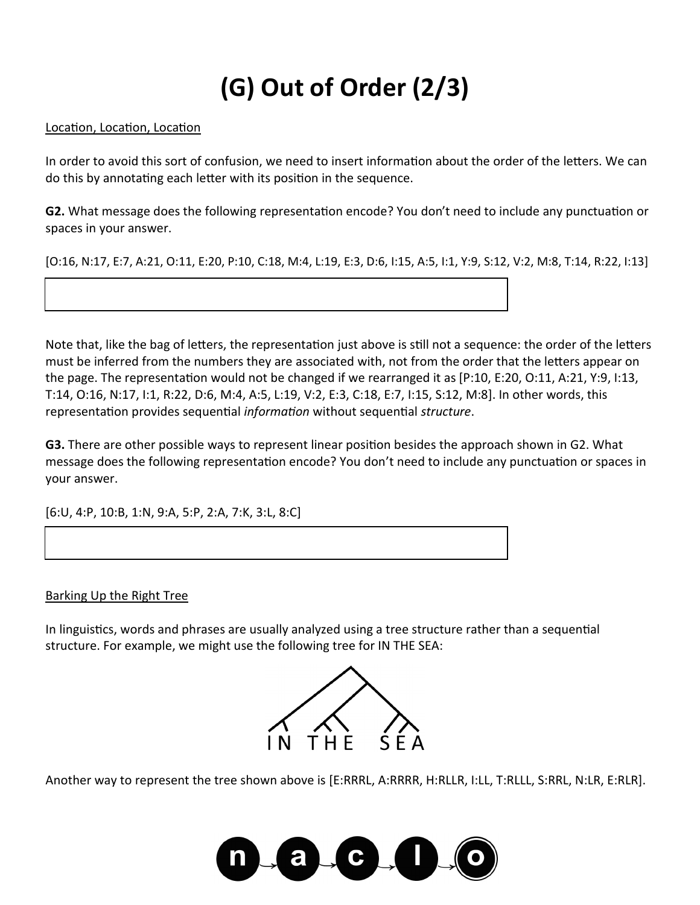### **(G) Out of Order (2/3)**

#### Location, Location, Location

In order to avoid this sort of confusion, we need to insert information about the order of the letters. We can do this by annotating each letter with its position in the sequence.

**G2.** What message does the following representation encode? You don't need to include any punctuation or spaces in your answer.

[O:16, N:17, E:7, A:21, O:11, E:20, P:10, C:18, M:4, L:19, E:3, D:6, I:15, A:5, I:1, Y:9, S:12, V:2, M:8, T:14, R:22, I:13]

Note that, like the bag of letters, the representation just above is still not a sequence: the order of the letters must be inferred from the numbers they are associated with, not from the order that the letters appear on the page. The representation would not be changed if we rearranged it as [P:10, E:20, O:11, A:21, Y:9, I:13, T:14, O:16, N:17, I:1, R:22, D:6, M:4, A:5, L:19, V:2, E:3, C:18, E:7, I:15, S:12, M:8]. In other words, this representation provides sequential *information* without sequential *structure*.

**G3.** There are other possible ways to represent linear position besides the approach shown in G2. What message does the following representation encode? You don't need to include any punctuation or spaces in your answer.

[6:U, 4:P, 10:B, 1:N, 9:A, 5:P, 2:A, 7:K, 3:L, 8:C]

#### Barking Up the Right Tree

In linguistics, words and phrases are usually analyzed using a tree structure rather than a sequential structure. For example, we might use the following tree for IN THE SEA:



Another way to represent the tree shown above is [E:RRRL, A:RRRR, H:RLLR, I:LL, T:RLLL, S:RRL, N:LR, E:RLR].